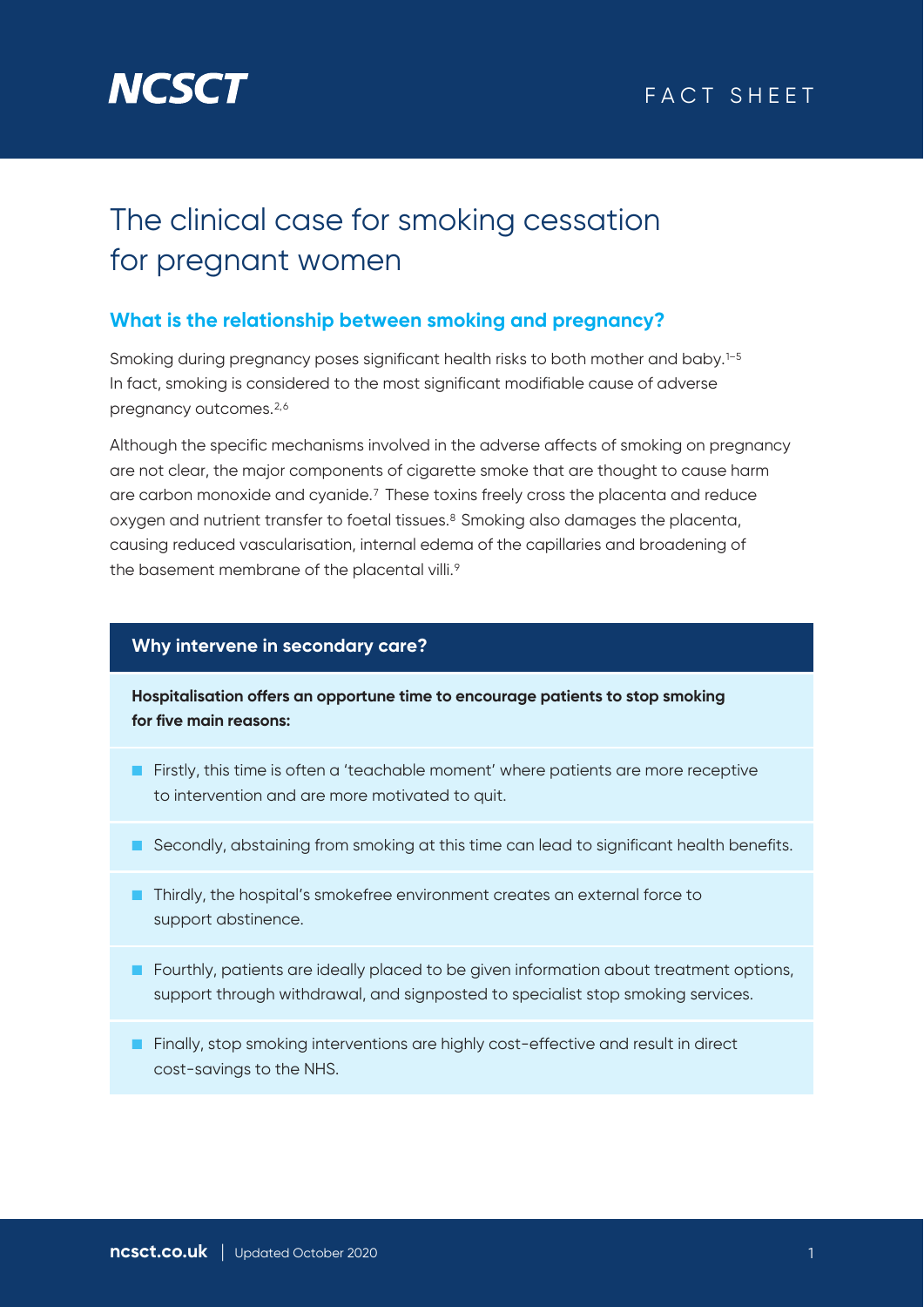

# The clinical case for smoking cessation for pregnant women

# **What is the relationship between smoking and pregnancy?**

Smoking during pregnancy poses significant health risks to both mother and baby.<sup>1-5</sup> In fact, smoking is considered to the most significant modifiable cause of adverse pregnancy outcomes.<sup>2,6</sup>

Although the specific mechanisms involved in the adverse affects of smoking on pregnancy are not clear, the major components of cigarette smoke that are thought to cause harm are carbon monoxide and cyanide.7 These toxins freely cross the placenta and reduce oxygen and nutrient transfer to foetal tissues.8 Smoking also damages the placenta, causing reduced vascularisation, internal edema of the capillaries and broadening of the basement membrane of the placental villi.<sup>9</sup>

## **Why intervene in secondary care?**

**Hospitalisation offers an opportune time to encourage patients to stop smoking for five main reasons:**

- Firstly, this time is often a 'teachable moment' where patients are more receptive to intervention and are more motivated to quit.
- Secondly, abstaining from smoking at this time can lead to significant health benefits.
- Thirdly, the hospital's smokefree environment creates an external force to support abstinence.
- Fourthly, patients are ideally placed to be given information about treatment options, support through withdrawal, and signposted to specialist stop smoking services.
- Finally, stop smoking interventions are highly cost-effective and result in direct cost-savings to the NHS.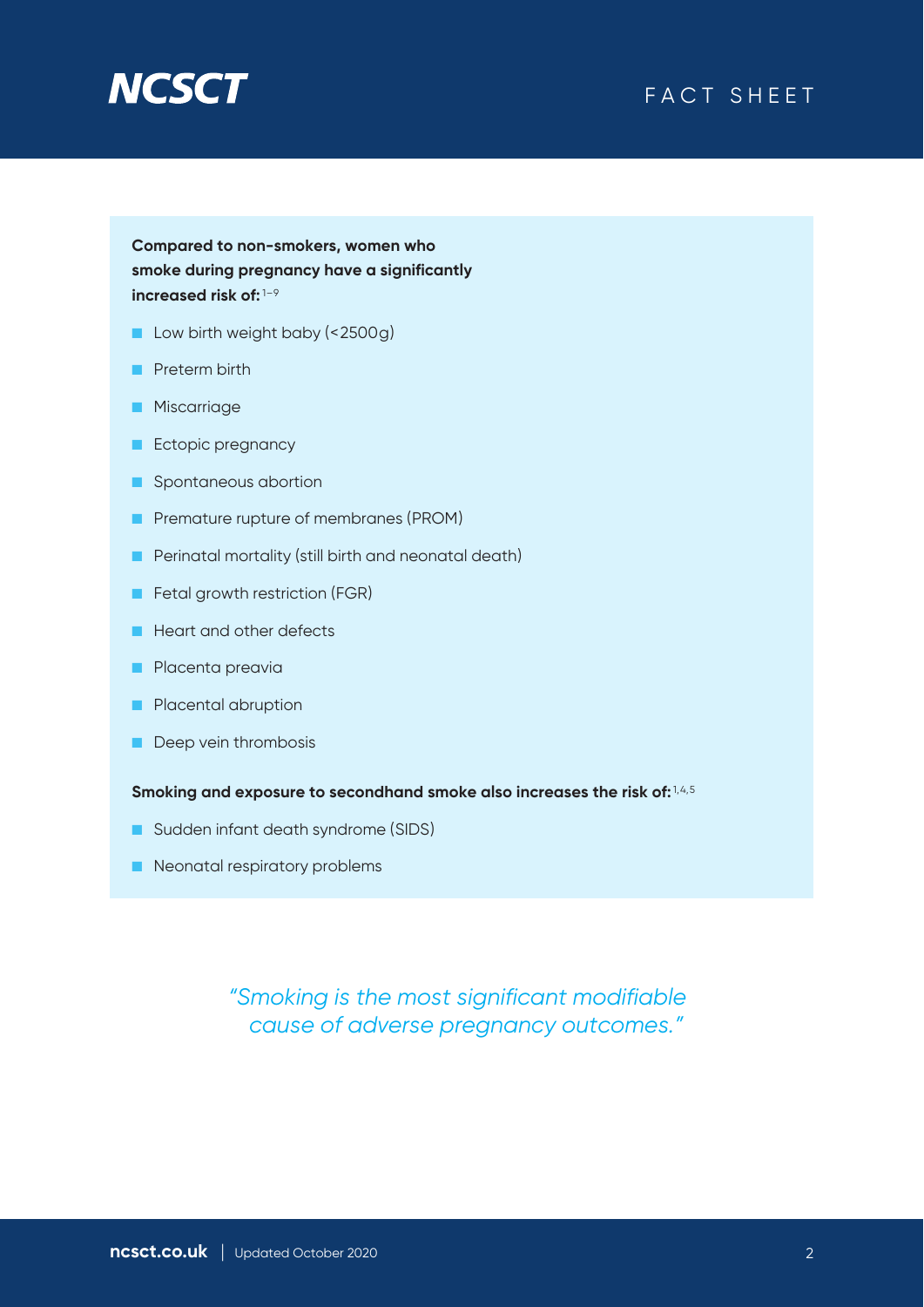



**Compared to non-smokers, women who smoke during pregnancy have a significantly increased risk of:** 1–9

- Low birth weight baby (<2500g)
- Preterm birth
- Miscarriage
- Ectopic pregnancy
- Spontaneous abortion
- Premature rupture of membranes (PROM)
- Perinatal mortality (still birth and neonatal death)
- Fetal growth restriction (FGR)
- Heart and other defects
- Placenta preavia
- Placental abruption
- Deep vein thrombosis

**Smoking and exposure to secondhand smoke also increases the risk of:** 1,4,5

- Sudden infant death syndrome (SIDS)
- Neonatal respiratory problems

*"Smoking is the most significant modifiable cause of adverse pregnancy outcomes."*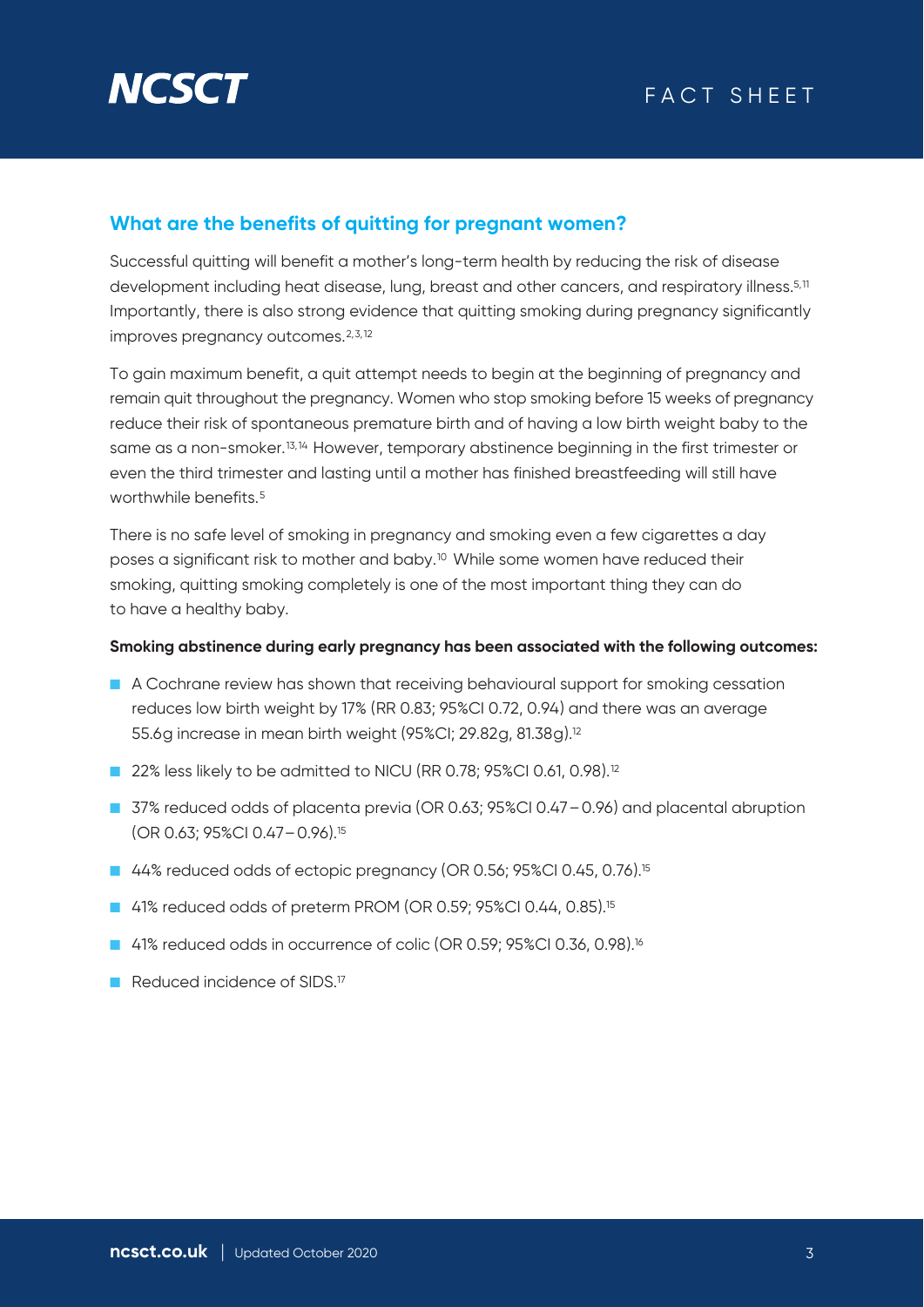

# **What are the benefits of quitting for pregnant women?**

Successful quitting will benefit a mother's long-term health by reducing the risk of disease development including heat disease, lung, breast and other cancers, and respiratory illness.<sup>5,11</sup> Importantly, there is also strong evidence that quitting smoking during pregnancy significantly improves pregnancy outcomes.<sup>2,3,12</sup>

To gain maximum benefit, a quit attempt needs to begin at the beginning of pregnancy and remain quit throughout the pregnancy. Women who stop smoking before 15 weeks of pregnancy reduce their risk of spontaneous premature birth and of having a low birth weight baby to the same as a non-smoker.<sup>13,14</sup> However, temporary abstinence beginning in the first trimester or even the third trimester and lasting until a mother has finished breastfeeding will still have worthwhile benefits.<sup>5</sup>

There is no safe level of smoking in pregnancy and smoking even a few cigarettes a day poses a significant risk to mother and baby.10 While some women have reduced their smoking, quitting smoking completely is one of the most important thing they can do to have a healthy baby.

#### **Smoking abstinence during early pregnancy has been associated with the following outcomes:**

- A Cochrane review has shown that receiving behavioural support for smoking cessation reduces low birth weight by 17% (RR 0.83; 95%CI 0.72, 0.94) and there was an average 55.6g increase in mean birth weight (95%CI; 29.82g, 81.38g).12
- 22% less likely to be admitted to NICU (RR 0.78; 95%CI 0.61, 0.98).<sup>12</sup>
- 37% reduced odds of placenta previa (OR 0.63; 95%CI 0.47 0.96) and placental abruption (OR 0.63; 95%CI 0.47–0.96).15
- 44% reduced odds of ectopic pregnancy (OR 0.56; 95%CI 0.45, 0.76).<sup>15</sup>
- 41% reduced odds of preterm PROM (OR 0.59; 95%CI 0.44, 0.85).<sup>15</sup>
- 41% reduced odds in occurrence of colic (OR 0.59; 95%CI 0.36, 0.98).<sup>16</sup>
- Reduced incidence of SIDS.<sup>17</sup>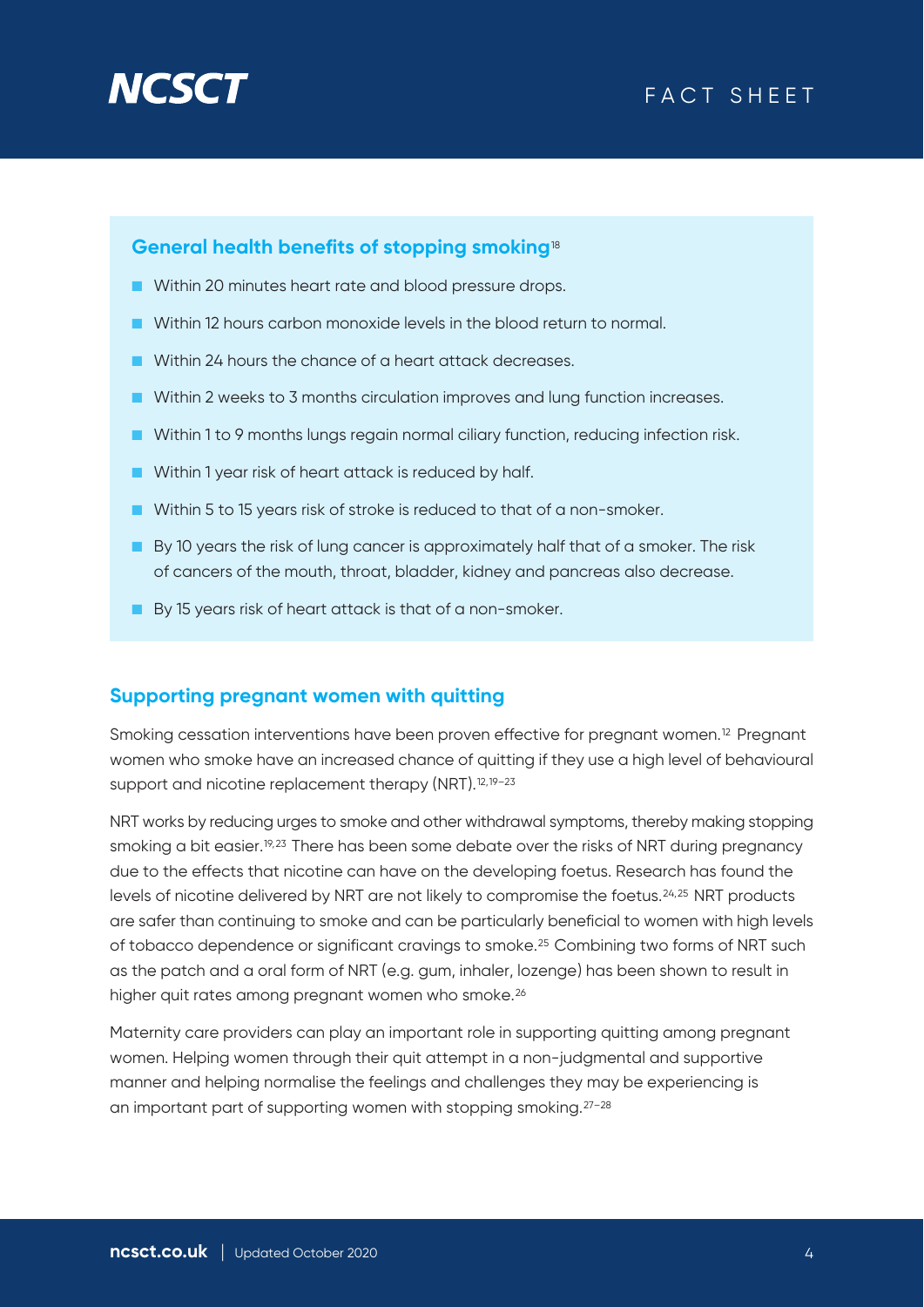# **NGS**

# FACT SHEET

## **General health benefits of stopping smoking**<sup>18</sup>

- Within 20 minutes heart rate and blood pressure drops.
- Within 12 hours carbon monoxide levels in the blood return to normal.
- Within 24 hours the chance of a heart attack decreases.
- Within 2 weeks to 3 months circulation improves and lung function increases.
- Within 1 to 9 months lungs regain normal ciliary function, reducing infection risk.
- Within 1 year risk of heart attack is reduced by half.
- Within 5 to 15 years risk of stroke is reduced to that of a non-smoker.
- By 10 years the risk of lung cancer is approximately half that of a smoker. The risk of cancers of the mouth, throat, bladder, kidney and pancreas also decrease.
- By 15 years risk of heart attack is that of a non-smoker.

#### **Supporting pregnant women with quitting**

Smoking cessation interventions have been proven effective for pregnant women.<sup>12</sup> Pregnant women who smoke have an increased chance of quitting if they use a high level of behavioural support and nicotine replacement therapy (NRT).<sup>12,19-23</sup>

NRT works by reducing urges to smoke and other withdrawal symptoms, thereby making stopping smoking a bit easier.<sup>19,23</sup> There has been some debate over the risks of NRT during pregnancy due to the effects that nicotine can have on the developing foetus. Research has found the levels of nicotine delivered by NRT are not likely to compromise the foetus.<sup>24,25</sup> NRT products are safer than continuing to smoke and can be particularly beneficial to women with high levels of tobacco dependence or significant cravings to smoke.25 Combining two forms of NRT such as the patch and a oral form of NRT (e.g. gum, inhaler, lozenge) has been shown to result in higher quit rates among pregnant women who smoke.<sup>26</sup>

Maternity care providers can play an important role in supporting quitting among pregnant women. Helping women through their quit attempt in a non-judgmental and supportive manner and helping normalise the feelings and challenges they may be experiencing is an important part of supporting women with stopping smoking.27–28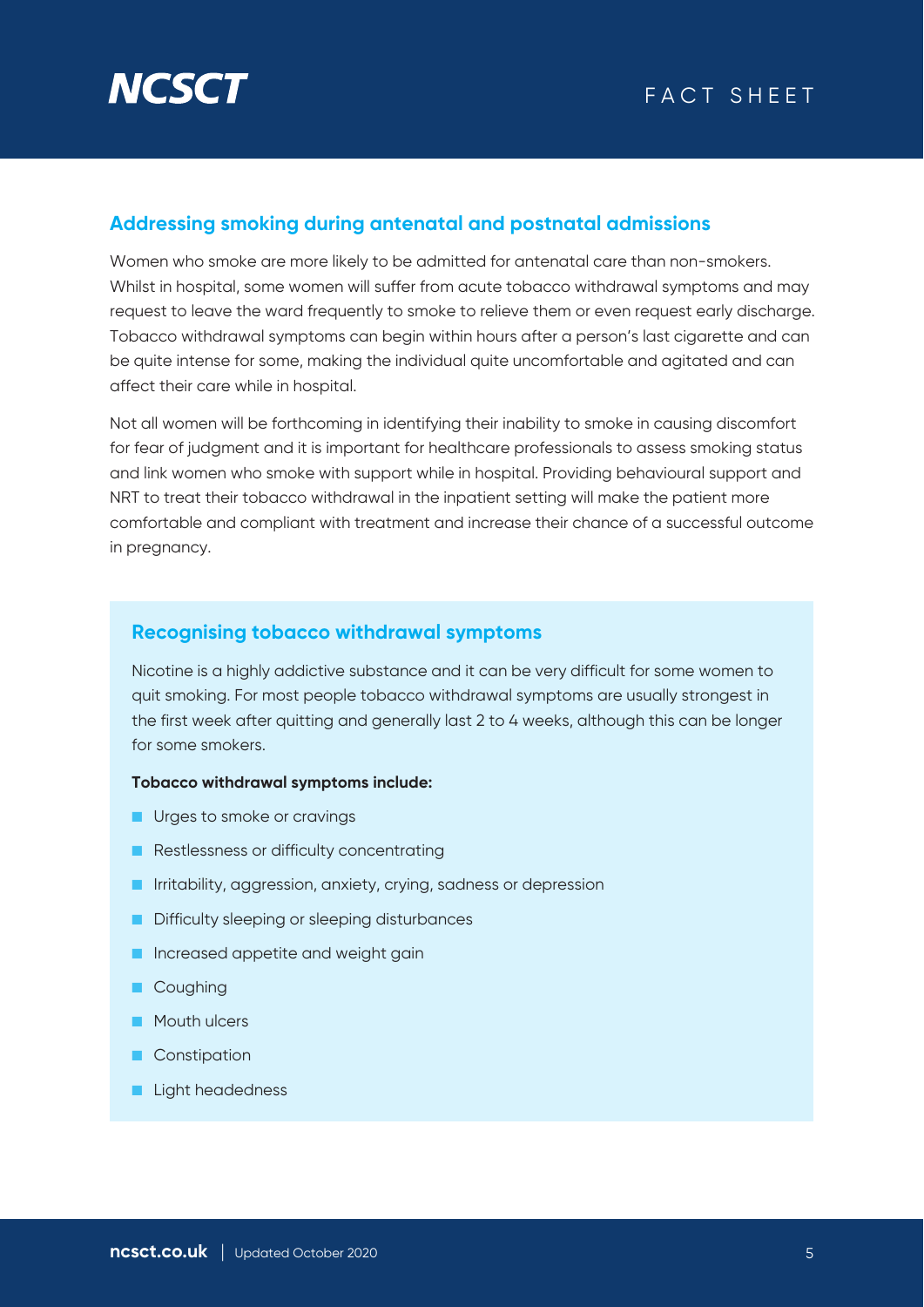# **Addressing smoking during antenatal and postnatal admissions**

Women who smoke are more likely to be admitted for antenatal care than non-smokers. Whilst in hospital, some women will suffer from acute tobacco withdrawal symptoms and may request to leave the ward frequently to smoke to relieve them or even request early discharge. Tobacco withdrawal symptoms can begin within hours after a person's last cigarette and can be quite intense for some, making the individual quite uncomfortable and agitated and can affect their care while in hospital.

Not all women will be forthcoming in identifying their inability to smoke in causing discomfort for fear of judgment and it is important for healthcare professionals to assess smoking status and link women who smoke with support while in hospital. Providing behavioural support and NRT to treat their tobacco withdrawal in the inpatient setting will make the patient more comfortable and compliant with treatment and increase their chance of a successful outcome in pregnancy.

# **Recognising tobacco withdrawal symptoms**

Nicotine is a highly addictive substance and it can be very difficult for some women to quit smoking. For most people tobacco withdrawal symptoms are usually strongest in the first week after quitting and generally last 2 to 4 weeks, although this can be longer for some smokers.

#### **Tobacco withdrawal symptoms include:**

- Urges to smoke or cravings
- Restlessness or difficulty concentrating
- Irritability, aggression, anxiety, crying, sadness or depression
- Difficulty sleeping or sleeping disturbances
- Increased appetite and weight gain
- Coughing
- Mouth ulcers
- Constipation
- Light headedness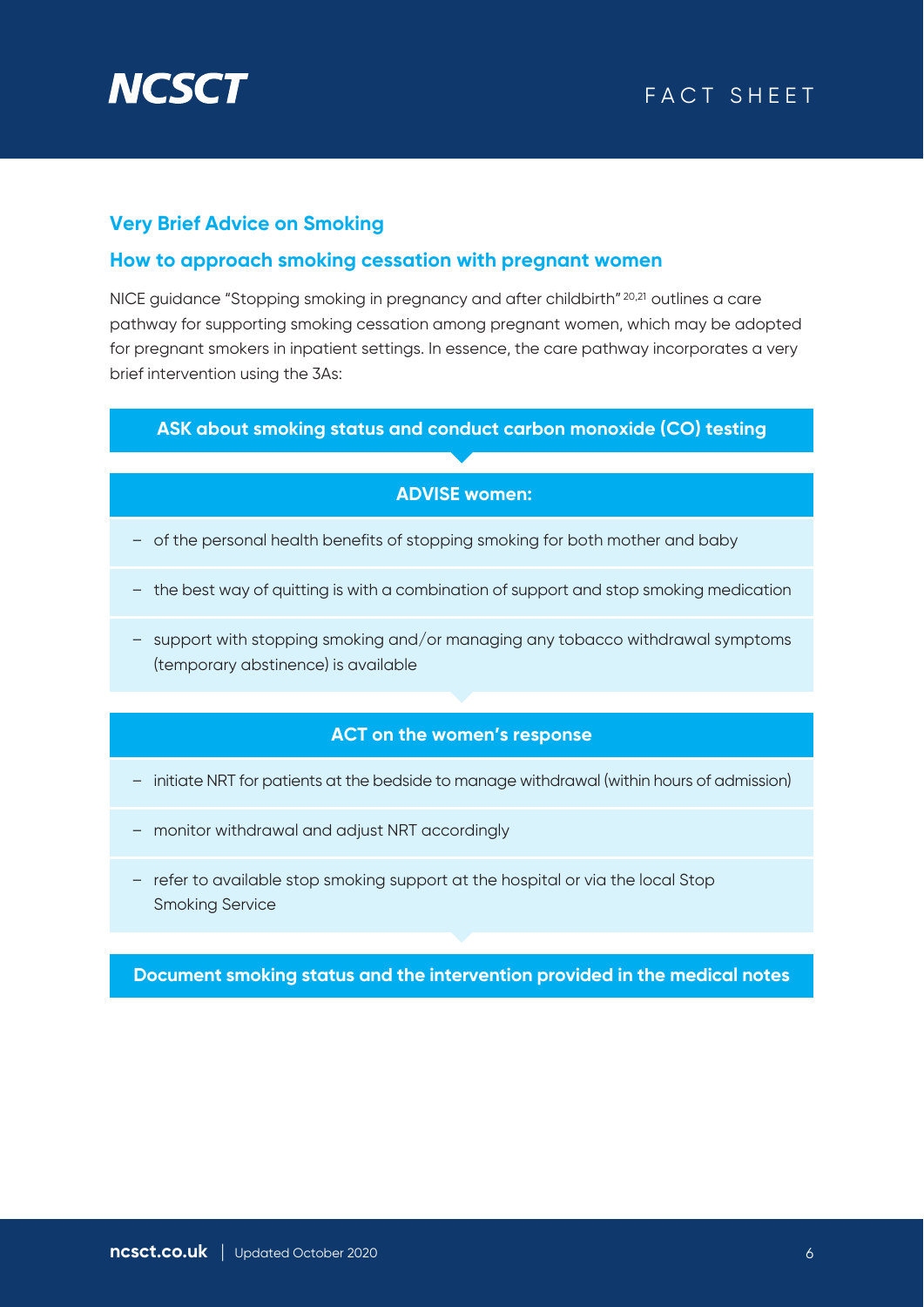

# FACT SHEET

# **Very Brief Advice on Smoking**

## **How to approach smoking cessation with pregnant women**

NICE guidance "Stopping smoking in pregnancy and after childbirth" 20,21 outlines a care pathway for supporting smoking cessation among pregnant women, which may be adopted for pregnant smokers in inpatient settings. In essence, the care pathway incorporates a very brief intervention using the 3As:

#### **ASK about smoking status and conduct carbon monoxide (CO) testing**

#### **ADVISE women:**

- of the personal health benefits of stopping smoking for both mother and baby
- the best way of quitting is with a combination of support and stop smoking medication
- support with stopping smoking and/or managing any tobacco withdrawal symptoms (temporary abstinence) is available

## **ACT on the women's response**

- initiate NRT for patients at the bedside to manage withdrawal (within hours of admission)
- monitor withdrawal and adjust NRT accordingly
- refer to available stop smoking support at the hospital or via the local Stop Smoking Service

**Document smoking status and the intervention provided in the medical notes**